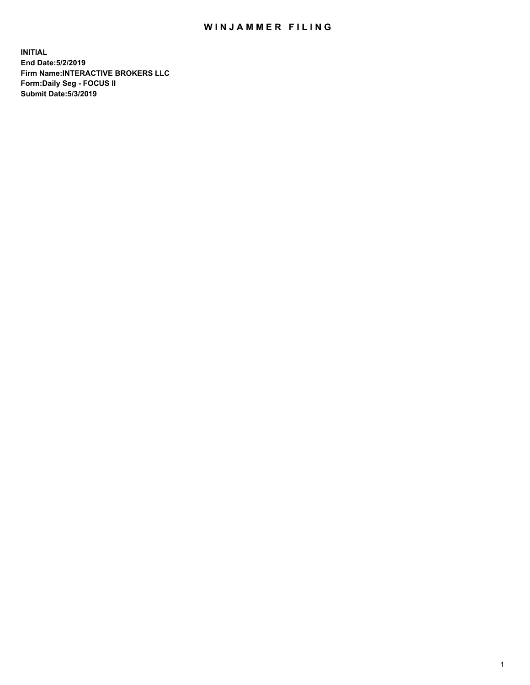## WIN JAMMER FILING

**INITIAL End Date:5/2/2019 Firm Name:INTERACTIVE BROKERS LLC Form:Daily Seg - FOCUS II Submit Date:5/3/2019**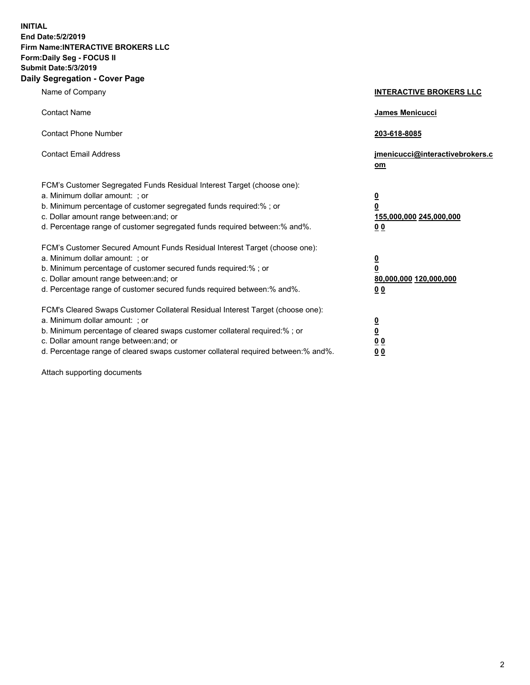**INITIAL End Date:5/2/2019 Firm Name:INTERACTIVE BROKERS LLC Form:Daily Seg - FOCUS II Submit Date:5/3/2019 Daily Segregation - Cover Page**

| Name of Company                                                                                                                                                                                                                                                                                                                | <b>INTERACTIVE BROKERS LLC</b>                                                      |
|--------------------------------------------------------------------------------------------------------------------------------------------------------------------------------------------------------------------------------------------------------------------------------------------------------------------------------|-------------------------------------------------------------------------------------|
| <b>Contact Name</b>                                                                                                                                                                                                                                                                                                            | James Menicucci                                                                     |
| <b>Contact Phone Number</b>                                                                                                                                                                                                                                                                                                    | 203-618-8085                                                                        |
| <b>Contact Email Address</b>                                                                                                                                                                                                                                                                                                   | jmenicucci@interactivebrokers.c<br>om                                               |
| FCM's Customer Segregated Funds Residual Interest Target (choose one):<br>a. Minimum dollar amount: ; or<br>b. Minimum percentage of customer segregated funds required:% ; or<br>c. Dollar amount range between: and; or<br>d. Percentage range of customer segregated funds required between:% and%.                         | $\overline{\mathbf{0}}$<br>$\overline{\mathbf{0}}$<br>155,000,000 245,000,000<br>00 |
| FCM's Customer Secured Amount Funds Residual Interest Target (choose one):<br>a. Minimum dollar amount: ; or<br>b. Minimum percentage of customer secured funds required:% ; or<br>c. Dollar amount range between: and; or<br>d. Percentage range of customer secured funds required between:% and%.                           | $\overline{\mathbf{0}}$<br>$\pmb{0}$<br>80,000,000 120,000,000<br>00                |
| FCM's Cleared Swaps Customer Collateral Residual Interest Target (choose one):<br>a. Minimum dollar amount: ; or<br>b. Minimum percentage of cleared swaps customer collateral required:% ; or<br>c. Dollar amount range between: and; or<br>d. Percentage range of cleared swaps customer collateral required between:% and%. | $\overline{\mathbf{0}}$<br>$\underline{\mathbf{0}}$<br>0 <sub>0</sub><br>00         |

Attach supporting documents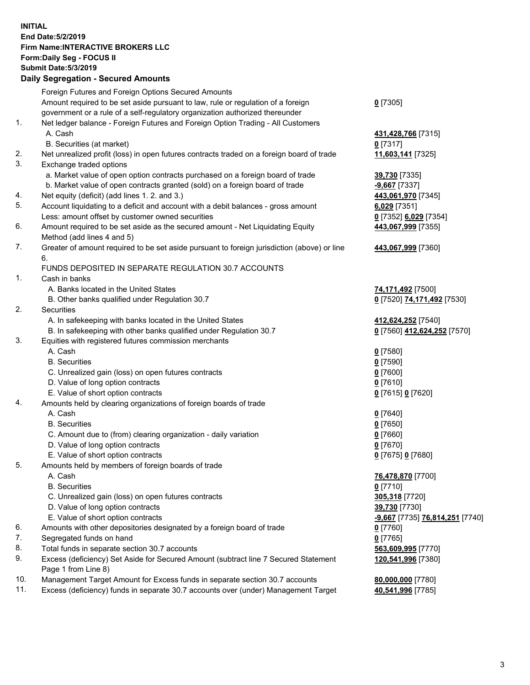## **INITIAL End Date:5/2/2019 Firm Name:INTERACTIVE BROKERS LLC Form:Daily Seg - FOCUS II Submit Date:5/3/2019 Daily Segregation - Secured Amounts**

|     | 2011, Ocgi ogation - Oceaned Anioanita                                                            |                                 |
|-----|---------------------------------------------------------------------------------------------------|---------------------------------|
|     | Foreign Futures and Foreign Options Secured Amounts                                               |                                 |
|     | Amount required to be set aside pursuant to law, rule or regulation of a foreign                  | $0$ [7305]                      |
|     | government or a rule of a self-regulatory organization authorized thereunder                      |                                 |
| 1.  | Net ledger balance - Foreign Futures and Foreign Option Trading - All Customers                   |                                 |
|     | A. Cash                                                                                           | 431,428,766 [7315]              |
|     | B. Securities (at market)                                                                         | $0$ [7317]                      |
| 2.  | Net unrealized profit (loss) in open futures contracts traded on a foreign board of trade         | 11,603,141 [7325]               |
| 3.  | Exchange traded options                                                                           |                                 |
|     | a. Market value of open option contracts purchased on a foreign board of trade                    | 39,730 [7335]                   |
|     | b. Market value of open contracts granted (sold) on a foreign board of trade                      | -9,667 [7337]                   |
| 4.  | Net equity (deficit) (add lines 1.2. and 3.)                                                      | 443,061,970 [7345]              |
| 5.  | Account liquidating to a deficit and account with a debit balances - gross amount                 | $6,029$ [7351]                  |
|     | Less: amount offset by customer owned securities                                                  | 0 [7352] 6,029 [7354]           |
| 6.  | Amount required to be set aside as the secured amount - Net Liquidating Equity                    | 443,067,999 [7355]              |
|     | Method (add lines 4 and 5)                                                                        |                                 |
| 7.  | Greater of amount required to be set aside pursuant to foreign jurisdiction (above) or line<br>6. | 443,067,999 [7360]              |
|     | FUNDS DEPOSITED IN SEPARATE REGULATION 30.7 ACCOUNTS                                              |                                 |
| 1.  | Cash in banks                                                                                     |                                 |
|     | A. Banks located in the United States                                                             | 74,171,492 [7500]               |
|     | B. Other banks qualified under Regulation 30.7                                                    | 0 [7520] 74,171,492 [7530]      |
| 2.  | Securities                                                                                        |                                 |
|     | A. In safekeeping with banks located in the United States                                         | 412,624,252 [7540]              |
|     | B. In safekeeping with other banks qualified under Regulation 30.7                                | 0 [7560] 412,624,252 [7570]     |
| 3.  | Equities with registered futures commission merchants                                             |                                 |
|     | A. Cash                                                                                           | $0$ [7580]                      |
|     | <b>B.</b> Securities                                                                              | $0$ [7590]                      |
|     | C. Unrealized gain (loss) on open futures contracts                                               | $0$ [7600]                      |
|     | D. Value of long option contracts                                                                 | $0$ [7610]                      |
|     | E. Value of short option contracts                                                                | 0 [7615] 0 [7620]               |
| 4.  | Amounts held by clearing organizations of foreign boards of trade                                 |                                 |
|     | A. Cash                                                                                           | $0$ [7640]                      |
|     | <b>B.</b> Securities                                                                              | $0$ [7650]                      |
|     | C. Amount due to (from) clearing organization - daily variation                                   | $0$ [7660]                      |
|     | D. Value of long option contracts                                                                 | $0$ [7670]                      |
|     | E. Value of short option contracts                                                                | 0 [7675] 0 [7680]               |
| 5.  | Amounts held by members of foreign boards of trade                                                |                                 |
|     | A. Cash                                                                                           | 76,478,870 [7700]               |
|     | <b>B.</b> Securities                                                                              | $0$ [7710]                      |
|     | C. Unrealized gain (loss) on open futures contracts                                               | 305,318 [7720]                  |
|     | D. Value of long option contracts                                                                 | 39,730 [7730]                   |
|     | E. Value of short option contracts                                                                | -9,667 [7735] 76,814,251 [7740] |
| 6.  | Amounts with other depositories designated by a foreign board of trade                            | $0$ [7760]                      |
| 7.  | Segregated funds on hand                                                                          | $0$ [7765]                      |
| 8.  | Total funds in separate section 30.7 accounts                                                     | 563,609,995 [7770]              |
| 9.  | Excess (deficiency) Set Aside for Secured Amount (subtract line 7 Secured Statement               | 120,541,996 [7380]              |
|     | Page 1 from Line 8)                                                                               |                                 |
| 10. | Management Target Amount for Excess funds in separate section 30.7 accounts                       | 80,000,000 [7780]               |
| 11. | Excess (deficiency) funds in separate 30.7 accounts over (under) Management Target                | 40,541,996 [7785]               |
|     |                                                                                                   |                                 |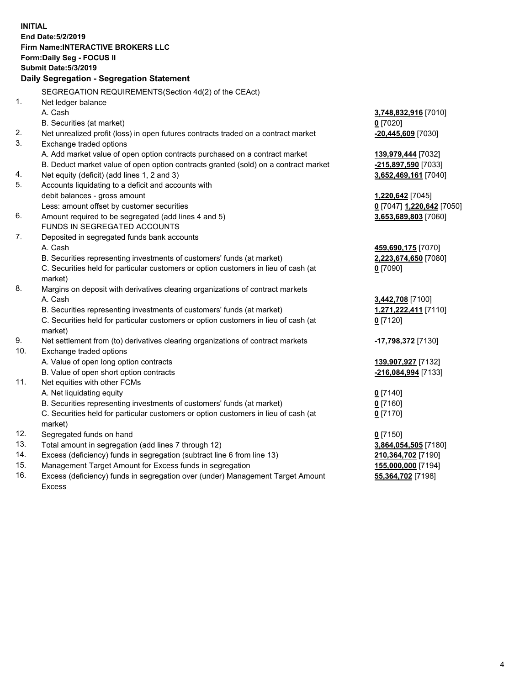| <b>INITIAL</b> |                                                                                     |                           |
|----------------|-------------------------------------------------------------------------------------|---------------------------|
|                | End Date: 5/2/2019                                                                  |                           |
|                | Firm Name: INTERACTIVE BROKERS LLC                                                  |                           |
|                | Form: Daily Seg - FOCUS II                                                          |                           |
|                | <b>Submit Date: 5/3/2019</b>                                                        |                           |
|                | Daily Segregation - Segregation Statement                                           |                           |
|                | SEGREGATION REQUIREMENTS (Section 4d(2) of the CEAct)                               |                           |
| 1.             | Net ledger balance                                                                  |                           |
|                | A. Cash                                                                             | 3,748,832,916 [7010]      |
|                | B. Securities (at market)                                                           | $0$ [7020]                |
| 2.             | Net unrealized profit (loss) in open futures contracts traded on a contract market  | -20,445,609 [7030]        |
| 3.             | Exchange traded options                                                             |                           |
|                | A. Add market value of open option contracts purchased on a contract market         | 139,979,444 [7032]        |
|                | B. Deduct market value of open option contracts granted (sold) on a contract market | -215,897,590 [7033]       |
| 4.             | Net equity (deficit) (add lines 1, 2 and 3)                                         | 3,652,469,161 [7040]      |
| 5.             | Accounts liquidating to a deficit and accounts with                                 |                           |
|                | debit balances - gross amount                                                       | 1,220,642 [7045]          |
|                | Less: amount offset by customer securities                                          | 0 [7047] 1,220,642 [7050] |
| 6.             | Amount required to be segregated (add lines 4 and 5)                                | 3,653,689,803 [7060]      |
|                | FUNDS IN SEGREGATED ACCOUNTS                                                        |                           |
| 7.             | Deposited in segregated funds bank accounts                                         |                           |
|                | A. Cash                                                                             | 459,690,175 [7070]        |
|                | B. Securities representing investments of customers' funds (at market)              | 2,223,674,650 [7080]      |
|                | C. Securities held for particular customers or option customers in lieu of cash (at | $0$ [7090]                |
|                | market)                                                                             |                           |
| 8.             | Margins on deposit with derivatives clearing organizations of contract markets      |                           |
|                | A. Cash                                                                             | 3,442,708 [7100]          |
|                | B. Securities representing investments of customers' funds (at market)              | 1,271,222,411 [7110]      |
|                | C. Securities held for particular customers or option customers in lieu of cash (at | $0$ [7120]                |
|                | market)                                                                             |                           |
| 9.             | Net settlement from (to) derivatives clearing organizations of contract markets     | -17,798,372 [7130]        |
| 10.            | Exchange traded options                                                             |                           |
|                | A. Value of open long option contracts                                              | 139,907,927 [7132]        |
|                | B. Value of open short option contracts                                             | -216,084,994 [7133]       |
| 11.            | Net equities with other FCMs                                                        |                           |
|                | A. Net liquidating equity                                                           | $0$ [7140]                |
|                | B. Securities representing investments of customers' funds (at market)              | $0$ [7160]                |
|                | C. Securities held for particular customers or option customers in lieu of cash (at | $0$ [7170]                |
|                | market)                                                                             |                           |
| 12.            | Segregated funds on hand                                                            | $0$ [7150]                |
| 13.            | Total amount in segregation (add lines 7 through 12)                                | 3,864,054,505 [7180]      |
| 14.            | Excess (deficiency) funds in segregation (subtract line 6 from line 13)             | 210,364,702 [7190]        |
| 15.            | Management Target Amount for Excess funds in segregation                            | 155,000,000 [7194]        |

16. Excess (deficiency) funds in segregation over (under) Management Target Amount Excess

**55,364,702** [7198]